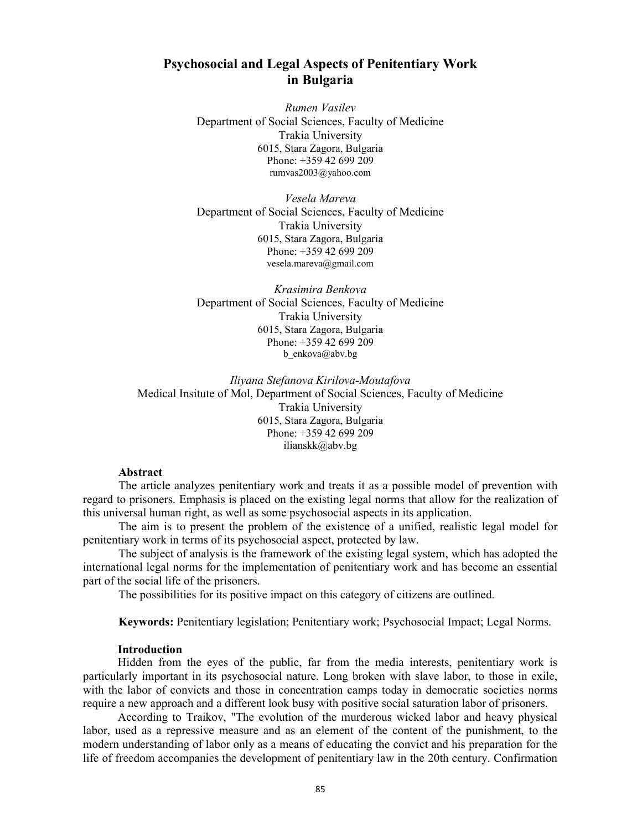# Psychosocial and Legal Aspects of Penitentiary Work in Bulgaria

Rumen Vasilev Department of Social Sciences, Faculty of Medicine Trakia University 6015, Stara Zagora, Bulgaria Phone: +359 42 699 209 rumvas2003@yahoo.com

Vesela Mareva Department of Social Sciences, Faculty of Medicine Trakia University 6015, Stara Zagora, Bulgaria Phone: +359 42 699 209 vesela.mareva@gmail.com

Krasimira Benkova Department of Social Sciences, Faculty of Medicine Trakia University 6015, Stara Zagora, Bulgaria Phone: +359 42 699 209 b enkova@abv.bg

Iliyana Stefanova Kirilova-Moutafova Medical Insitute of Mol, Department of Social Sciences, Faculty of Medicine Trakia University 6015, Stara Zagora, Bulgaria Phone: +359 42 699 209 ilianskk@abv.bg

## Abstract

The article analyzes penitentiary work and treats it as a possible model of prevention with regard to prisoners. Emphasis is placed on the existing legal norms that allow for the realization of this universal human right, as well as some psychosocial aspects in its application.

The aim is to present the problem of the existence of a unified, realistic legal model for penitentiary work in terms of its psychosocial aspect, protected by law.

The subject of analysis is the framework of the existing legal system, which has adopted the international legal norms for the implementation of penitentiary work and has become an essential part of the social life of the prisoners.

The possibilities for its positive impact on this category of citizens are outlined.

Keywords: Penitentiary legislation; Penitentiary work; Psychosocial Impact; Legal Norms.

## Introduction

Hidden from the eyes of the public, far from the media interests, penitentiary work is particularly important in its psychosocial nature. Long broken with slave labor, to those in exile, with the labor of convicts and those in concentration camps today in democratic societies norms require a new approach and a different look busy with positive social saturation labor of prisoners.

According to Traikov, "The evolution of the murderous wicked labor and heavy physical labor, used as a repressive measure and as an element of the content of the punishment, to the modern understanding of labor only as a means of educating the convict and his preparation for the life of freedom accompanies the development of penitentiary law in the 20th century. Confirmation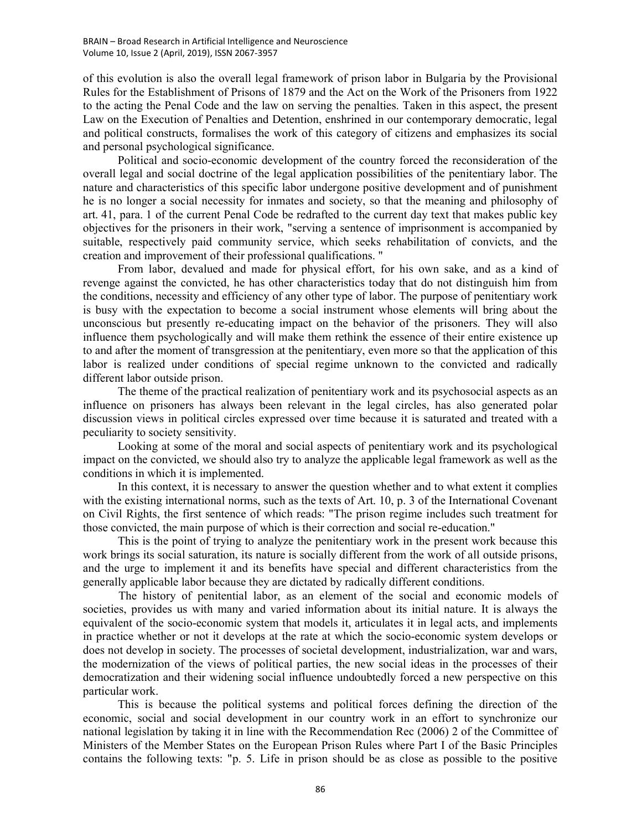of this evolution is also the overall legal framework of prison labor in Bulgaria by the Provisional Rules for the Establishment of Prisons of 1879 and the Act on the Work of the Prisoners from 1922 to the acting the Penal Code and the law on serving the penalties. Taken in this aspect, the present Law on the Execution of Penalties and Detention, enshrined in our contemporary democratic, legal and political constructs, formalises the work of this category of citizens and emphasizes its social and personal psychological significance.

Political and socio-economic development of the country forced the reconsideration of the overall legal and social doctrine of the legal application possibilities of the penitentiary labor. The nature and characteristics of this specific labor undergone positive development and of punishment he is no longer a social necessity for inmates and society, so that the meaning and philosophy of art. 41, para. 1 of the current Penal Code be redrafted to the current day text that makes public key objectives for the prisoners in their work, "serving a sentence of imprisonment is accompanied by suitable, respectively paid community service, which seeks rehabilitation of convicts, and the creation and improvement of their professional qualifications. "

From labor, devalued and made for physical effort, for his own sake, and as a kind of revenge against the convicted, he has other characteristics today that do not distinguish him from the conditions, necessity and efficiency of any other type of labor. The purpose of penitentiary work is busy with the expectation to become a social instrument whose elements will bring about the unconscious but presently re-educating impact on the behavior of the prisoners. They will also influence them psychologically and will make them rethink the essence of their entire existence up to and after the moment of transgression at the penitentiary, even more so that the application of this labor is realized under conditions of special regime unknown to the convicted and radically different labor outside prison.

The theme of the practical realization of penitentiary work and its psychosocial aspects as an influence on prisoners has always been relevant in the legal circles, has also generated polar discussion views in political circles expressed over time because it is saturated and treated with a peculiarity to society sensitivity.

Looking at some of the moral and social aspects of penitentiary work and its psychological impact on the convicted, we should also try to analyze the applicable legal framework as well as the conditions in which it is implemented.

In this context, it is necessary to answer the question whether and to what extent it complies with the existing international norms, such as the texts of Art. 10, p. 3 of the International Covenant on Civil Rights, the first sentence of which reads: "The prison regime includes such treatment for those convicted, the main purpose of which is their correction and social re-education."

This is the point of trying to analyze the penitentiary work in the present work because this work brings its social saturation, its nature is socially different from the work of all outside prisons, and the urge to implement it and its benefits have special and different characteristics from the generally applicable labor because they are dictated by radically different conditions.

The history of penitential labor, as an element of the social and economic models of societies, provides us with many and varied information about its initial nature. It is always the equivalent of the socio-economic system that models it, articulates it in legal acts, and implements in practice whether or not it develops at the rate at which the socio-economic system develops or does not develop in society. The processes of societal development, industrialization, war and wars, the modernization of the views of political parties, the new social ideas in the processes of their democratization and their widening social influence undoubtedly forced a new perspective on this particular work.

This is because the political systems and political forces defining the direction of the economic, social and social development in our country work in an effort to synchronize our national legislation by taking it in line with the Recommendation Rec (2006) 2 of the Committee of Ministers of the Member States on the European Prison Rules where Part I of the Basic Principles contains the following texts: "p. 5. Life in prison should be as close as possible to the positive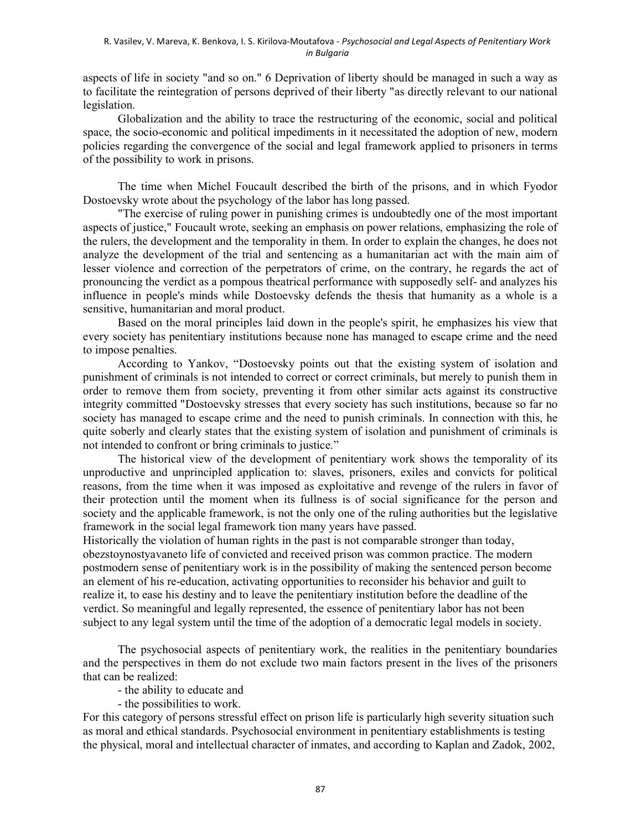### R. Vasilev, V. Mareva, K. Benkova, I. S. Kirilova-Moutafova - Psychosocial and Legal Aspects of Penitentiary Work in Bulgaria

aspects of life in society "and so on." 6 Deprivation of liberty should be managed in such a way as to facilitate the reintegration of persons deprived of their liberty "as directly relevant to our national legislation.

Globalization and the ability to trace the restructuring of the economic, social and political space, the socio-economic and political impediments in it necessitated the adoption of new, modern policies regarding the convergence of the social and legal framework applied to prisoners in terms of the possibility to work in prisons.

The time when Michel Foucault described the birth of the prisons, and in which Fyodor Dostoevsky wrote about the psychology of the labor has long passed.

"The exercise of ruling power in punishing crimes is undoubtedly one of the most important aspects of justice," Foucault wrote, seeking an emphasis on power relations, emphasizing the role of the rulers, the development and the temporality in them. In order to explain the changes, he does not analyze the development of the trial and sentencing as a humanitarian act with the main aim of lesser violence and correction of the perpetrators of crime, on the contrary, he regards the act of pronouncing the verdict as a pompous theatrical performance with supposedly self- and analyzes his influence in people's minds while Dostoevsky defends the thesis that humanity as a whole is a sensitive, humanitarian and moral product.

Based on the moral principles laid down in the people's spirit, he emphasizes his view that every society has penitentiary institutions because none has managed to escape crime and the need to impose penalties.

According to Yankov, "Dostoevsky points out that the existing system of isolation and punishment of criminals is not intended to correct or correct criminals, but merely to punish them in order to remove them from society, preventing it from other similar acts against its constructive integrity committed "Dostoevsky stresses that every society has such institutions, because so far no society has managed to escape crime and the need to punish criminals. In connection with this, he quite soberly and clearly states that the existing system of isolation and punishment of criminals is not intended to confront or bring criminals to justice."

The historical view of the development of penitentiary work shows the temporality of its unproductive and unprincipled application to: slaves, prisoners, exiles and convicts for political reasons, from the time when it was imposed as exploitative and revenge of the rulers in favor of their protection until the moment when its fullness is of social significance for the person and society and the applicable framework, is not the only one of the ruling authorities but the legislative framework in the social legal framework tion many years have passed.

Historically the violation of human rights in the past is not comparable stronger than today, obezstoynostyavaneto life of convicted and received prison was common practice. The modern postmodern sense of penitentiary work is in the possibility of making the sentenced person become an element of his re-education, activating opportunities to reconsider his behavior and guilt to realize it, to ease his destiny and to leave the penitentiary institution before the deadline of the verdict. So meaningful and legally represented, the essence of penitentiary labor has not been subject to any legal system until the time of the adoption of a democratic legal models in society.

The psychosocial aspects of penitentiary work, the realities in the penitentiary boundaries and the perspectives in them do not exclude two main factors present in the lives of the prisoners that can be realized:

- the ability to educate and

- the possibilities to work.

For this category of persons stressful effect on prison life is particularly high severity situation such as moral and ethical standards. Psychosocial environment in penitentiary establishments is testing the physical, moral and intellectual character of inmates, and according to Kaplan and Zadok, 2002,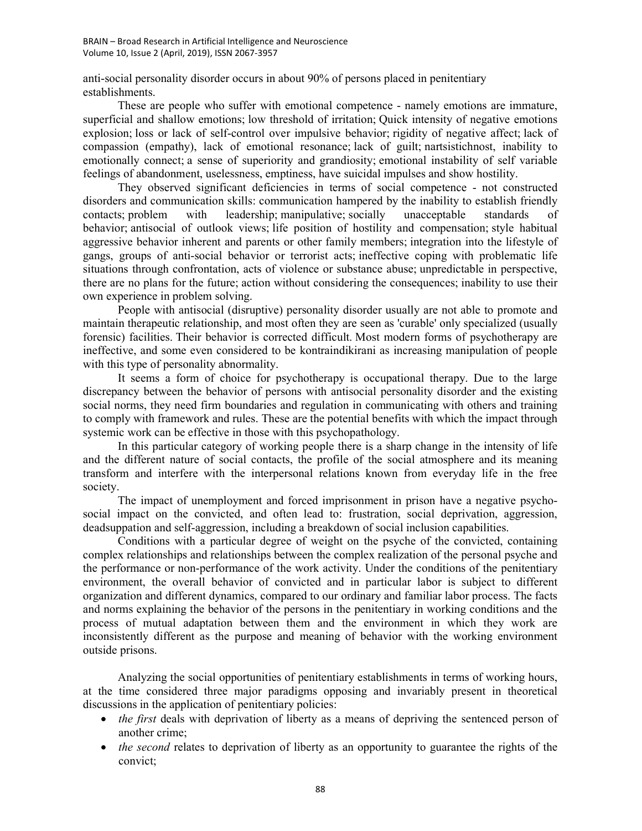anti-social personality disorder occurs in about 90% of persons placed in penitentiary establishments.

These are people who suffer with emotional competence - namely emotions are immature, superficial and shallow emotions; low threshold of irritation; Quick intensity of negative emotions explosion; loss or lack of self-control over impulsive behavior; rigidity of negative affect; lack of compassion (empathy), lack of emotional resonance; lack of guilt; nartsistichnost, inability to emotionally connect; a sense of superiority and grandiosity; emotional instability of self variable feelings of abandonment, uselessness, emptiness, have suicidal impulses and show hostility.

They observed significant deficiencies in terms of social competence - not constructed disorders and communication skills: communication hampered by the inability to establish friendly contacts; problem with leadership; manipulative; socially unacceptable standards of behavior; antisocial of outlook views; life position of hostility and compensation; style habitual aggressive behavior inherent and parents or other family members; integration into the lifestyle of gangs, groups of anti-social behavior or terrorist acts; ineffective coping with problematic life situations through confrontation, acts of violence or substance abuse; unpredictable in perspective, there are no plans for the future; action without considering the consequences; inability to use their own experience in problem solving.

People with antisocial (disruptive) personality disorder usually are not able to promote and maintain therapeutic relationship, and most often they are seen as 'curable' only specialized (usually forensic) facilities. Their behavior is corrected difficult. Most modern forms of psychotherapy are ineffective, and some even considered to be kontraindikirani as increasing manipulation of people with this type of personality abnormality.

It seems a form of choice for psychotherapy is occupational therapy. Due to the large discrepancy between the behavior of persons with antisocial personality disorder and the existing social norms, they need firm boundaries and regulation in communicating with others and training to comply with framework and rules. These are the potential benefits with which the impact through systemic work can be effective in those with this psychopathology.

In this particular category of working people there is a sharp change in the intensity of life and the different nature of social contacts, the profile of the social atmosphere and its meaning transform and interfere with the interpersonal relations known from everyday life in the free society.

The impact of unemployment and forced imprisonment in prison have a negative psychosocial impact on the convicted, and often lead to: frustration, social deprivation, aggression, deadsuppation and self-aggression, including a breakdown of social inclusion capabilities.

Conditions with a particular degree of weight on the psyche of the convicted, containing complex relationships and relationships between the complex realization of the personal psyche and the performance or non-performance of the work activity. Under the conditions of the penitentiary environment, the overall behavior of convicted and in particular labor is subject to different organization and different dynamics, compared to our ordinary and familiar labor process. The facts and norms explaining the behavior of the persons in the penitentiary in working conditions and the process of mutual adaptation between them and the environment in which they work are inconsistently different as the purpose and meaning of behavior with the working environment outside prisons.

Analyzing the social opportunities of penitentiary establishments in terms of working hours, at the time considered three major paradigms opposing and invariably present in theoretical discussions in the application of penitentiary policies:

- $\bullet$  the first deals with deprivation of liberty as a means of depriving the sentenced person of another crime;
- $\bullet$  *the second* relates to deprivation of liberty as an opportunity to guarantee the rights of the convict;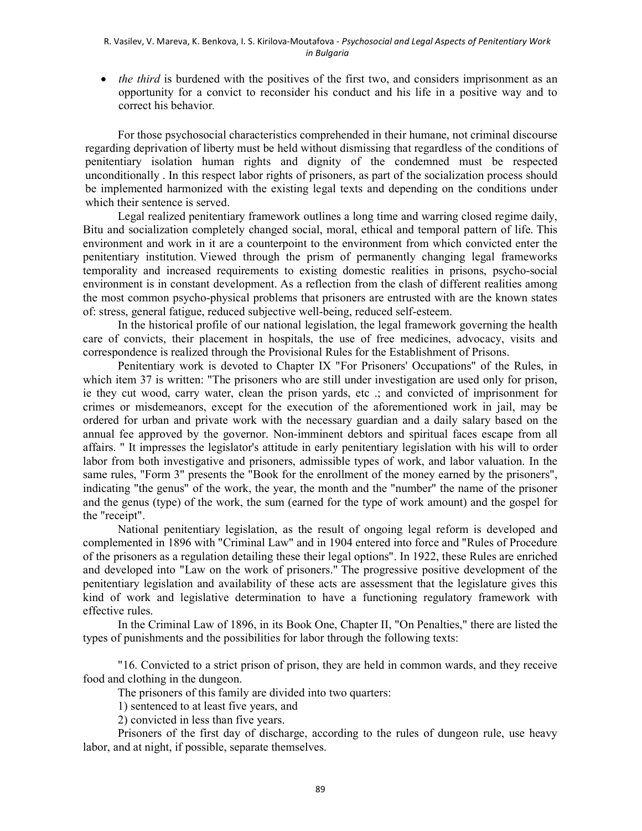$\bullet$  *the third* is burdened with the positives of the first two, and considers imprisonment as an opportunity for a convict to reconsider his conduct and his life in a positive way and to correct his behavior.

For those psychosocial characteristics comprehended in their humane, not criminal discourse regarding deprivation of liberty must be held without dismissing that regardless of the conditions of penitentiary isolation human rights and dignity of the condemned must be respected unconditionally . In this respect labor rights of prisoners, as part of the socialization process should be implemented harmonized with the existing legal texts and depending on the conditions under which their sentence is served.

Legal realized penitentiary framework outlines a long time and warring closed regime daily, Bitu and socialization completely changed social, moral, ethical and temporal pattern of life. This environment and work in it are a counterpoint to the environment from which convicted enter the penitentiary institution. Viewed through the prism of permanently changing legal frameworks temporality and increased requirements to existing domestic realities in prisons, psycho-social environment is in constant development. As a reflection from the clash of different realities among the most common psycho-physical problems that prisoners are entrusted with are the known states of: stress, general fatigue, reduced subjective well-being, reduced self-esteem.

In the historical profile of our national legislation, the legal framework governing the health care of convicts, their placement in hospitals, the use of free medicines, advocacy, visits and correspondence is realized through the Provisional Rules for the Establishment of Prisons.

Penitentiary work is devoted to Chapter IX "For Prisoners' Occupations" of the Rules, in which item 37 is written: "The prisoners who are still under investigation are used only for prison, ie they cut wood, carry water, clean the prison yards, etc .; and convicted of imprisonment for crimes or misdemeanors, except for the execution of the aforementioned work in jail, may be ordered for urban and private work with the necessary guardian and a daily salary based on the annual fee approved by the governor. Non-imminent debtors and spiritual faces escape from all affairs. " It impresses the legislator's attitude in early penitentiary legislation with his will to order labor from both investigative and prisoners, admissible types of work, and labor valuation. In the same rules, "Form 3" presents the "Book for the enrollment of the money earned by the prisoners", indicating "the genus" of the work, the year, the month and the "number" the name of the prisoner and the genus (type) of the work, the sum (earned for the type of work amount) and the gospel for the "receipt".

National penitentiary legislation, as the result of ongoing legal reform is developed and complemented in 1896 with "Criminal Law" and in 1904 entered into force and "Rules of Procedure of the prisoners as a regulation detailing these their legal options". In 1922, these Rules are enriched and developed into "Law on the work of prisoners." The progressive positive development of the penitentiary legislation and availability of these acts are assessment that the legislature gives this kind of work and legislative determination to have a functioning regulatory framework with effective rules.

In the Criminal Law of 1896, in its Book One, Chapter II, "On Penalties," there are listed the types of punishments and the possibilities for labor through the following texts:

"16. Convicted to a strict prison of prison, they are held in common wards, and they receive food and clothing in the dungeon.

The prisoners of this family are divided into two quarters:

1) sentenced to at least five years, and

2) convicted in less than five years.

Prisoners of the first day of discharge, according to the rules of dungeon rule, use heavy labor, and at night, if possible, separate themselves.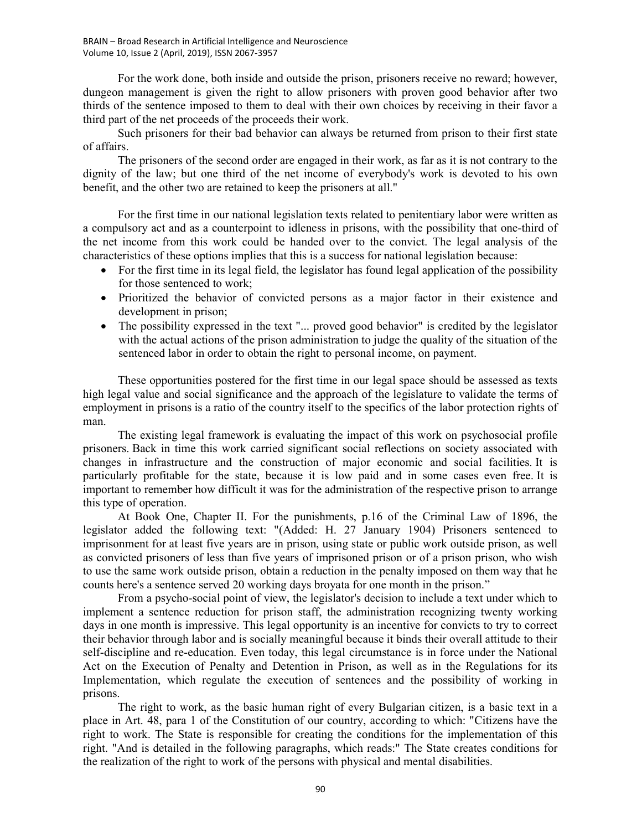For the work done, both inside and outside the prison, prisoners receive no reward; however, dungeon management is given the right to allow prisoners with proven good behavior after two thirds of the sentence imposed to them to deal with their own choices by receiving in their favor a third part of the net proceeds of the proceeds their work.

Such prisoners for their bad behavior can always be returned from prison to their first state of affairs.

The prisoners of the second order are engaged in their work, as far as it is not contrary to the dignity of the law; but one third of the net income of everybody's work is devoted to his own benefit, and the other two are retained to keep the prisoners at all."

For the first time in our national legislation texts related to penitentiary labor were written as a compulsory act and as a counterpoint to idleness in prisons, with the possibility that one-third of the net income from this work could be handed over to the convict. The legal analysis of the characteristics of these options implies that this is a success for national legislation because:

- For the first time in its legal field, the legislator has found legal application of the possibility for those sentenced to work;
- Prioritized the behavior of convicted persons as a major factor in their existence and development in prison;
- The possibility expressed in the text "... proved good behavior" is credited by the legislator with the actual actions of the prison administration to judge the quality of the situation of the sentenced labor in order to obtain the right to personal income, on payment.

These opportunities postered for the first time in our legal space should be assessed as texts high legal value and social significance and the approach of the legislature to validate the terms of employment in prisons is a ratio of the country itself to the specifics of the labor protection rights of man.

The existing legal framework is evaluating the impact of this work on psychosocial profile prisoners. Back in time this work carried significant social reflections on society associated with changes in infrastructure and the construction of major economic and social facilities. It is particularly profitable for the state, because it is low paid and in some cases even free. It is important to remember how difficult it was for the administration of the respective prison to arrange this type of operation.

At Book One, Chapter II. For the punishments, p.16 of the Criminal Law of 1896, the legislator added the following text: "(Added: H. 27 January 1904) Prisoners sentenced to imprisonment for at least five years are in prison, using state or public work outside prison, as well as convicted prisoners of less than five years of imprisoned prison or of a prison prison, who wish to use the same work outside prison, obtain a reduction in the penalty imposed on them way that he counts here's a sentence served 20 working days broyata for one month in the prison."

From a psycho-social point of view, the legislator's decision to include a text under which to implement a sentence reduction for prison staff, the administration recognizing twenty working days in one month is impressive. This legal opportunity is an incentive for convicts to try to correct their behavior through labor and is socially meaningful because it binds their overall attitude to their self-discipline and re-education. Even today, this legal circumstance is in force under the National Act on the Execution of Penalty and Detention in Prison, as well as in the Regulations for its Implementation, which regulate the execution of sentences and the possibility of working in prisons.

The right to work, as the basic human right of every Bulgarian citizen, is a basic text in a place in Art. 48, para 1 of the Constitution of our country, according to which: "Citizens have the right to work. The State is responsible for creating the conditions for the implementation of this right. "And is detailed in the following paragraphs, which reads:" The State creates conditions for the realization of the right to work of the persons with physical and mental disabilities.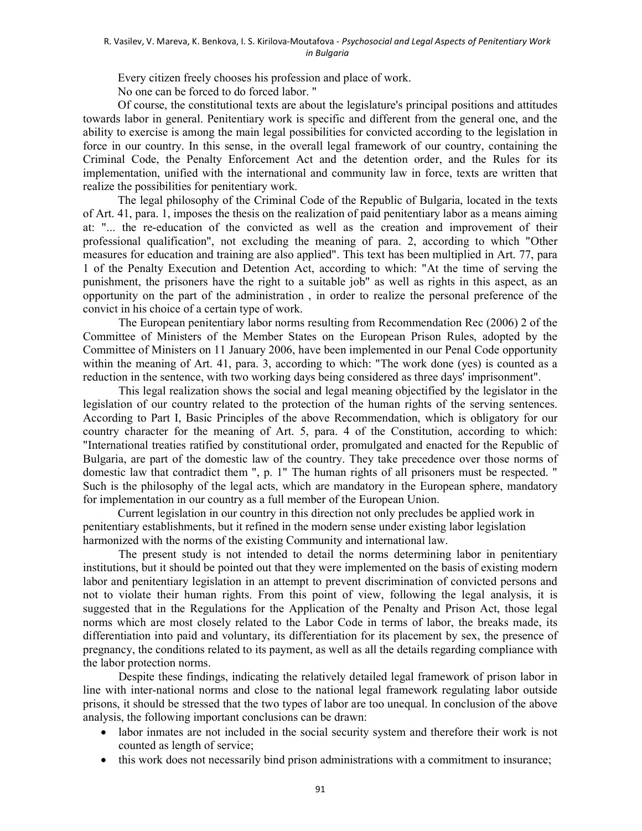#### R. Vasilev, V. Mareva, K. Benkova, I. S. Kirilova-Moutafova - Psychosocial and Legal Aspects of Penitentiary Work in Bulgaria

Every citizen freely chooses his profession and place of work.

No one can be forced to do forced labor. "

Of course, the constitutional texts are about the legislature's principal positions and attitudes towards labor in general. Penitentiary work is specific and different from the general one, and the ability to exercise is among the main legal possibilities for convicted according to the legislation in force in our country. In this sense, in the overall legal framework of our country, containing the Criminal Code, the Penalty Enforcement Act and the detention order, and the Rules for its implementation, unified with the international and community law in force, texts are written that realize the possibilities for penitentiary work.

The legal philosophy of the Criminal Code of the Republic of Bulgaria, located in the texts of Art. 41, para. 1, imposes the thesis on the realization of paid penitentiary labor as a means aiming at: "... the re-education of the convicted as well as the creation and improvement of their professional qualification", not excluding the meaning of para. 2, according to which "Other measures for education and training are also applied". This text has been multiplied in Art. 77, para 1 of the Penalty Execution and Detention Act, according to which: "At the time of serving the punishment, the prisoners have the right to a suitable job" as well as rights in this aspect, as an opportunity on the part of the administration , in order to realize the personal preference of the convict in his choice of a certain type of work.

The European penitentiary labor norms resulting from Recommendation Rec (2006) 2 of the Committee of Ministers of the Member States on the European Prison Rules, adopted by the Committee of Ministers on 11 January 2006, have been implemented in our Penal Code opportunity within the meaning of Art. 41, para. 3, according to which: "The work done (yes) is counted as a reduction in the sentence, with two working days being considered as three days' imprisonment".

This legal realization shows the social and legal meaning objectified by the legislator in the legislation of our country related to the protection of the human rights of the serving sentences. According to Part I, Basic Principles of the above Recommendation, which is obligatory for our country character for the meaning of Art. 5, para. 4 of the Constitution, according to which: "International treaties ratified by constitutional order, promulgated and enacted for the Republic of Bulgaria, are part of the domestic law of the country. They take precedence over those norms of domestic law that contradict them ", p. 1" The human rights of all prisoners must be respected. " Such is the philosophy of the legal acts, which are mandatory in the European sphere, mandatory for implementation in our country as a full member of the European Union.

Current legislation in our country in this direction not only precludes be applied work in penitentiary establishments, but it refined in the modern sense under existing labor legislation harmonized with the norms of the existing Community and international law.

The present study is not intended to detail the norms determining labor in penitentiary institutions, but it should be pointed out that they were implemented on the basis of existing modern labor and penitentiary legislation in an attempt to prevent discrimination of convicted persons and not to violate their human rights. From this point of view, following the legal analysis, it is suggested that in the Regulations for the Application of the Penalty and Prison Act, those legal norms which are most closely related to the Labor Code in terms of labor, the breaks made, its differentiation into paid and voluntary, its differentiation for its placement by sex, the presence of pregnancy, the conditions related to its payment, as well as all the details regarding compliance with the labor protection norms.

Despite these findings, indicating the relatively detailed legal framework of prison labor in line with inter-national norms and close to the national legal framework regulating labor outside prisons, it should be stressed that the two types of labor are too unequal. In conclusion of the above analysis, the following important conclusions can be drawn:

- labor inmates are not included in the social security system and therefore their work is not counted as length of service;
- this work does not necessarily bind prison administrations with a commitment to insurance;